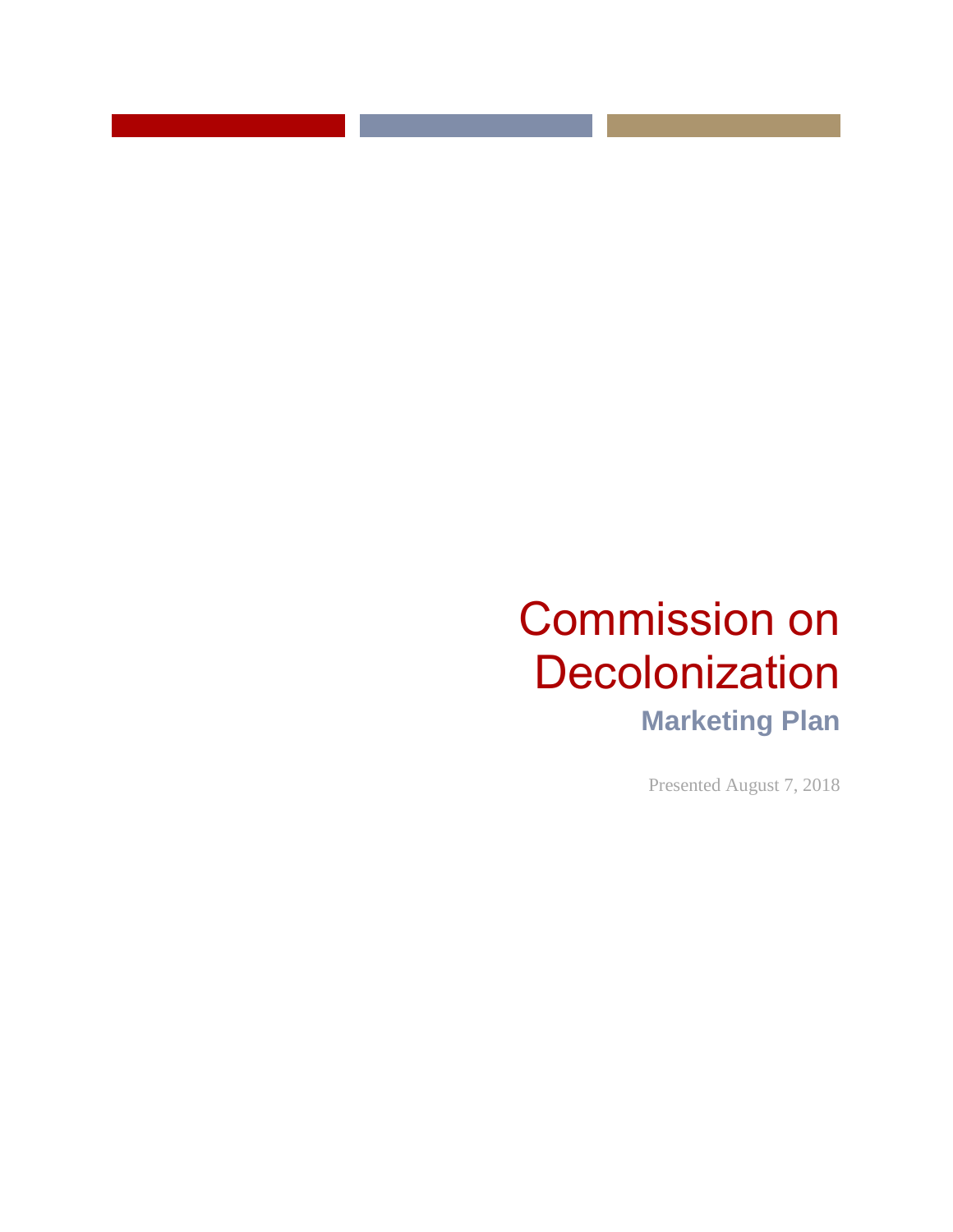Presented August 7, 2018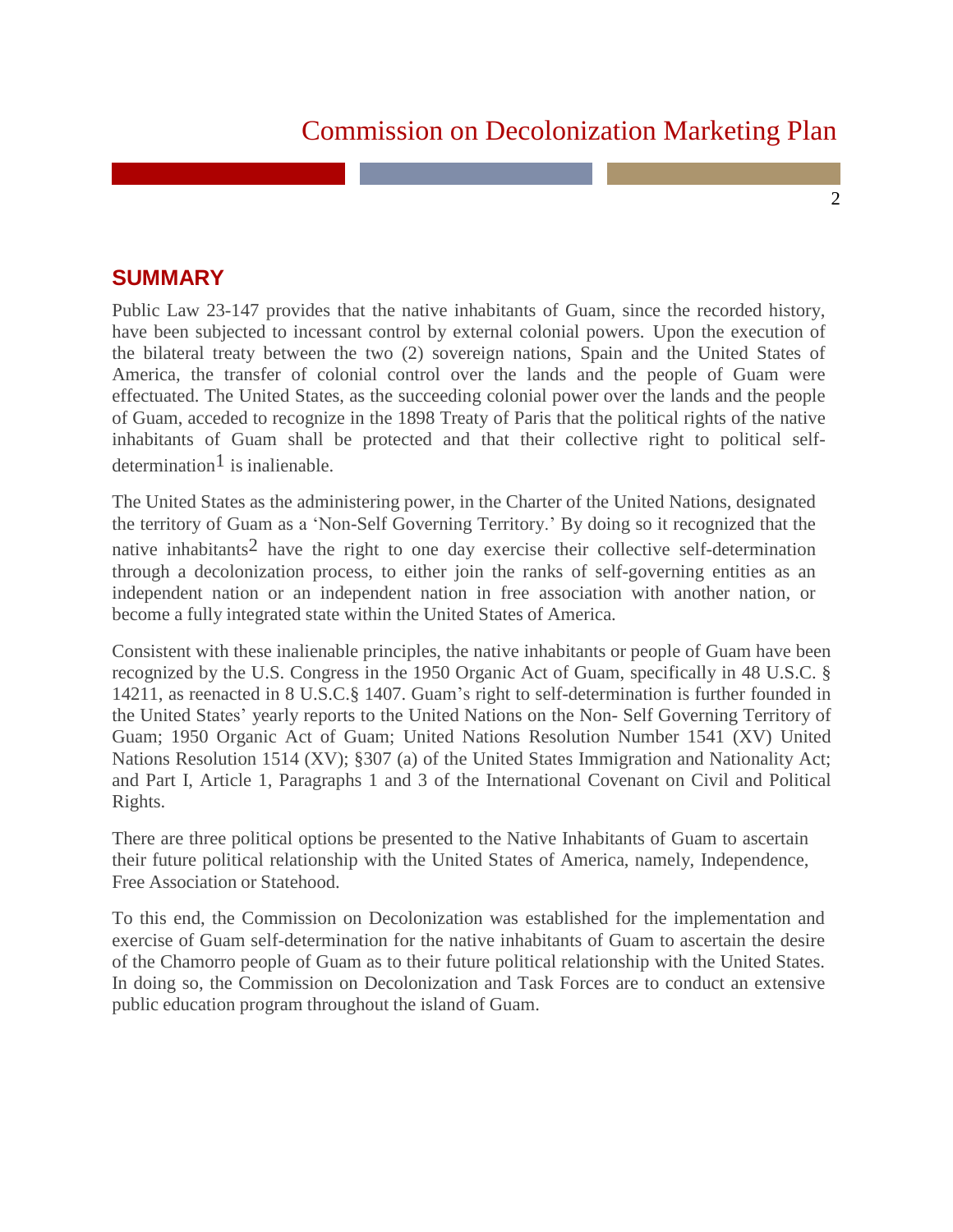$\mathfrak{D}$ 

### **SUMMARY**

Public Law 23-147 provides that the native inhabitants of Guam, since the recorded history, have been subjected to incessant control by external colonial powers. Upon the execution of the bilateral treaty between the two (2) sovereign nations, Spain and the United States of America, the transfer of colonial control over the lands and the people of Guam were effectuated. The United States, as the succeeding colonial power over the lands and the people of Guam, acceded to recognize in the 1898 Treaty of Paris that the political rights of the native inhabitants of Guam shall be protected and that their collective right to political selfdetermination<sup>1</sup> is inalienable.

The United States as the administering power, in the Charter of the United Nations, designated the territory of Guam as a 'Non-Self Governing Territory.' By doing so it recognized that the native inhabitants<sup>2</sup> have the right to one day exercise their collective self-determination through a decolonization process, to either join the ranks of self-governing entities as an independent nation or an independent nation in free association with another nation, or become a fully integrated state within the United States of America.

Consistent with these inalienable principles, the native inhabitants or people of Guam have been recognized by the U.S. Congress in the 1950 Organic Act of Guam, specifically in 48 U.S.C. § 14211, as reenacted in 8 U.S.C.§ 1407. Guam's right to self-determination is further founded in the United States' yearly reports to the United Nations on the Non- Self Governing Territory of Guam; 1950 Organic Act of Guam; United Nations Resolution Number 1541 (XV) United Nations Resolution 1514 (XV); §307 (a) of the United States Immigration and Nationality Act; and Part I, Article 1, Paragraphs 1 and 3 of the International Covenant on Civil and Political Rights.

There are three political options be presented to the Native Inhabitants of Guam to ascertain their future political relationship with the United States of America, namely, Independence, Free Association or Statehood.

To this end, the Commission on Decolonization was established for the implementation and exercise of Guam self-determination for the native inhabitants of Guam to ascertain the desire of the Chamorro people of Guam as to their future political relationship with the United States. In doing so, the Commission on Decolonization and Task Forces are to conduct an extensive public education program throughout the island of Guam.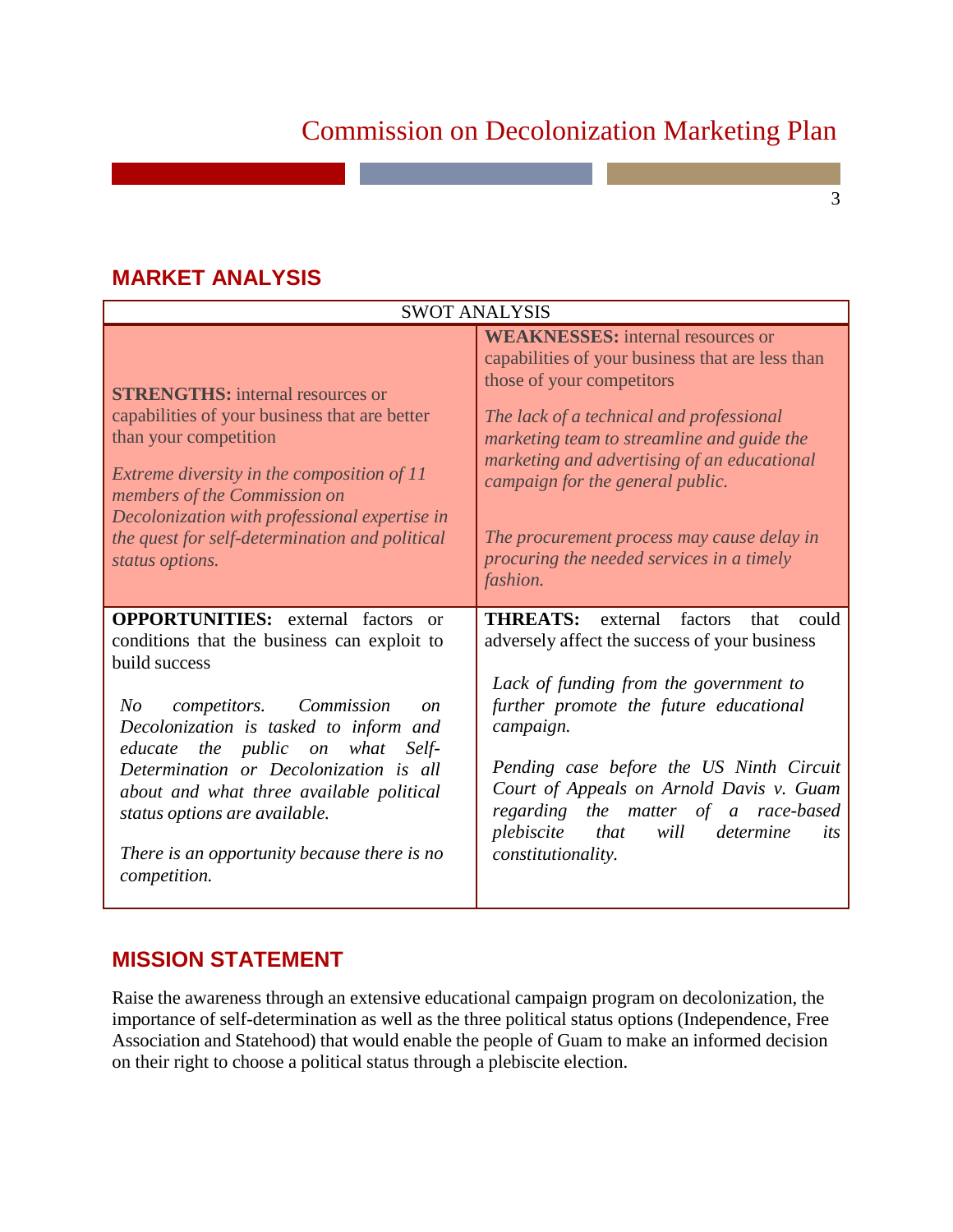3

| <b>SWOT ANALYSIS</b>                                                                                                                                                                                                                                                                                                                                                                                                                     |                                                                                                                                                                                                                                                                                                                                                                                                                      |
|------------------------------------------------------------------------------------------------------------------------------------------------------------------------------------------------------------------------------------------------------------------------------------------------------------------------------------------------------------------------------------------------------------------------------------------|----------------------------------------------------------------------------------------------------------------------------------------------------------------------------------------------------------------------------------------------------------------------------------------------------------------------------------------------------------------------------------------------------------------------|
| <b>STRENGTHS:</b> internal resources or<br>capabilities of your business that are better<br>than your competition<br>Extreme diversity in the composition of 11<br>members of the Commission on<br>Decolonization with professional expertise in<br>the quest for self-determination and political<br>status options.                                                                                                                    | <b>WEAKNESSES:</b> internal resources or<br>capabilities of your business that are less than<br>those of your competitors<br>The lack of a technical and professional<br>marketing team to streamline and guide the<br>marketing and advertising of an educational<br>campaign for the general public.<br>The procurement process may cause delay in<br>procuring the needed services in a timely<br><i>fashion.</i> |
| <b>OPPORTUNITIES:</b> external factors<br>or<br>conditions that the business can exploit to<br>build success<br>N o<br>competitors. Commission<br>$\mathfrak{O}n$<br>Decolonization is tasked to inform and<br>educate the public on what<br>Self-<br>Determination or Decolonization is all<br>about and what three available political<br>status options are available.<br>There is an opportunity because there is no<br>competition. | <b>THREATS:</b><br>external<br>factors<br>could<br>that<br>adversely affect the success of your business<br>Lack of funding from the government to<br>further promote the future educational<br>campaign.<br>Pending case before the US Ninth Circuit<br>Court of Appeals on Arnold Davis v. Guam<br>regarding the matter of a race-based<br>plebiscite that<br>will determine<br>its<br><i>constitutionality.</i>   |

# **MARKET ANALYSIS**

### **MISSION STATEMENT**

Raise the awareness through an extensive educational campaign program on decolonization, the importance of self-determination as well as the three political status options (Independence, Free Association and Statehood) that would enable the people of Guam to make an informed decision on their right to choose a political status through a plebiscite election.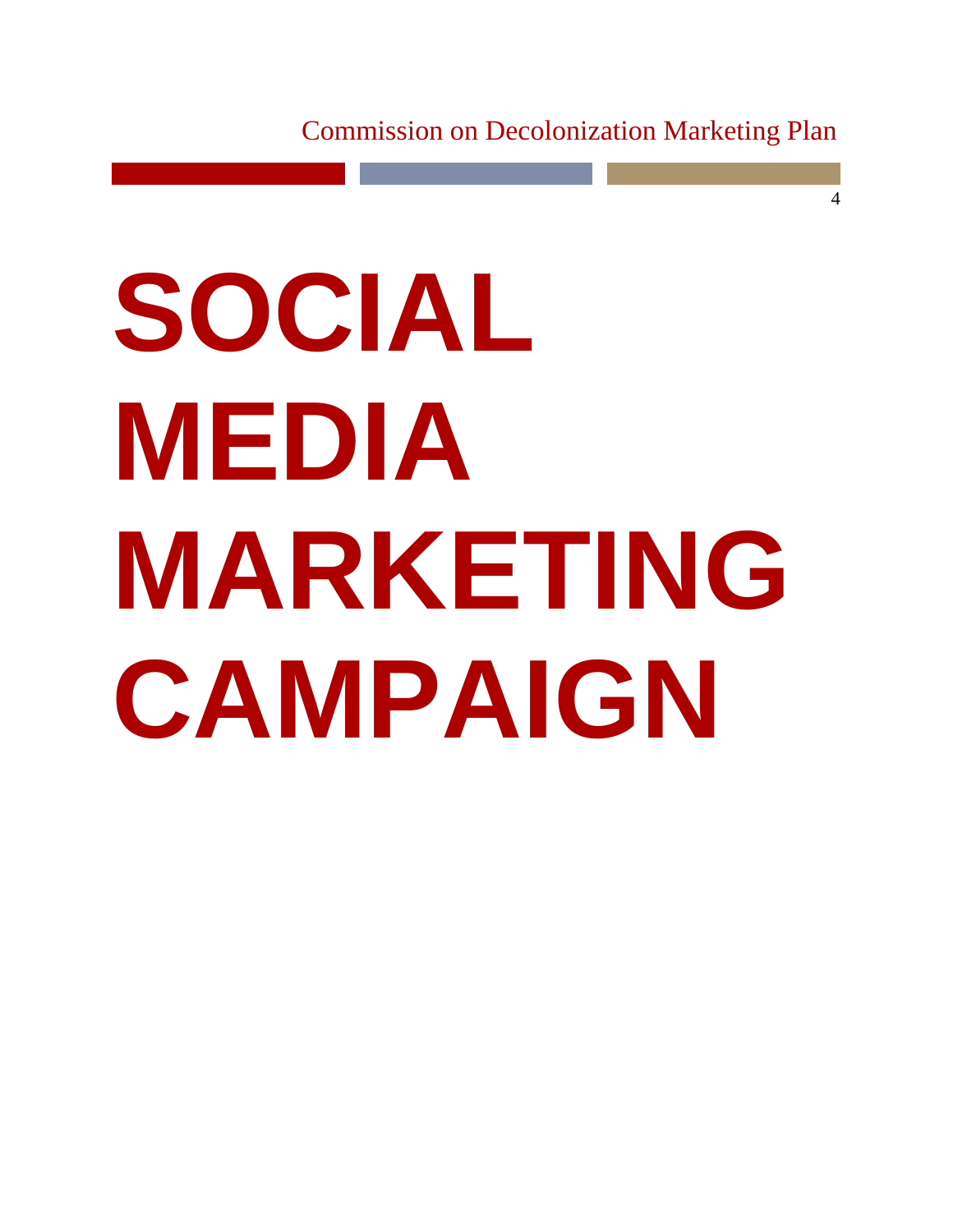4

# **SOCIAL MEDIA MARKETING CAMPAIGN**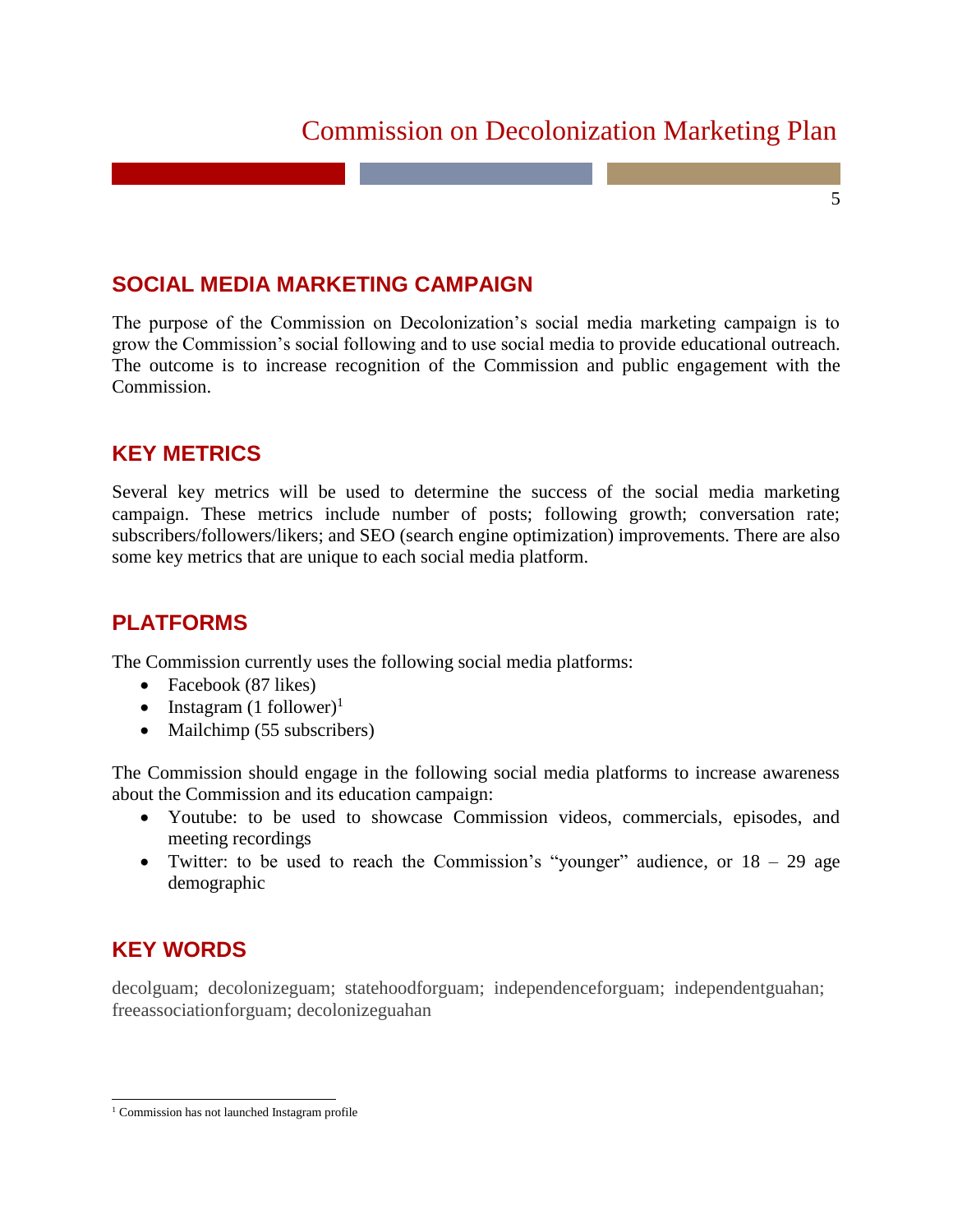5

## **SOCIAL MEDIA MARKETING CAMPAIGN**

The purpose of the Commission on Decolonization's social media marketing campaign is to grow the Commission's social following and to use social media to provide educational outreach. The outcome is to increase recognition of the Commission and public engagement with the Commission.

### **KEY METRICS**

Several key metrics will be used to determine the success of the social media marketing campaign. These metrics include number of posts; following growth; conversation rate; subscribers/followers/likers; and SEO (search engine optimization) improvements. There are also some key metrics that are unique to each social media platform.

## **PLATFORMS**

The Commission currently uses the following social media platforms:

- Facebook (87 likes)
- Instagram  $(1 \text{ follower})^1$
- Mailchimp (55 subscribers)

The Commission should engage in the following social media platforms to increase awareness about the Commission and its education campaign:

- Youtube: to be used to showcase Commission videos, commercials, episodes, and meeting recordings
- Twitter: to be used to reach the Commission's "younger" audience, or  $18 29$  age demographic

## **KEY WORDS**

decolguam; decolonizeguam; statehoodforguam; independenceforguam; independentguahan; freeassociationforguam; decolonizeguahan

 $\overline{a}$ <sup>1</sup> Commission has not launched Instagram profile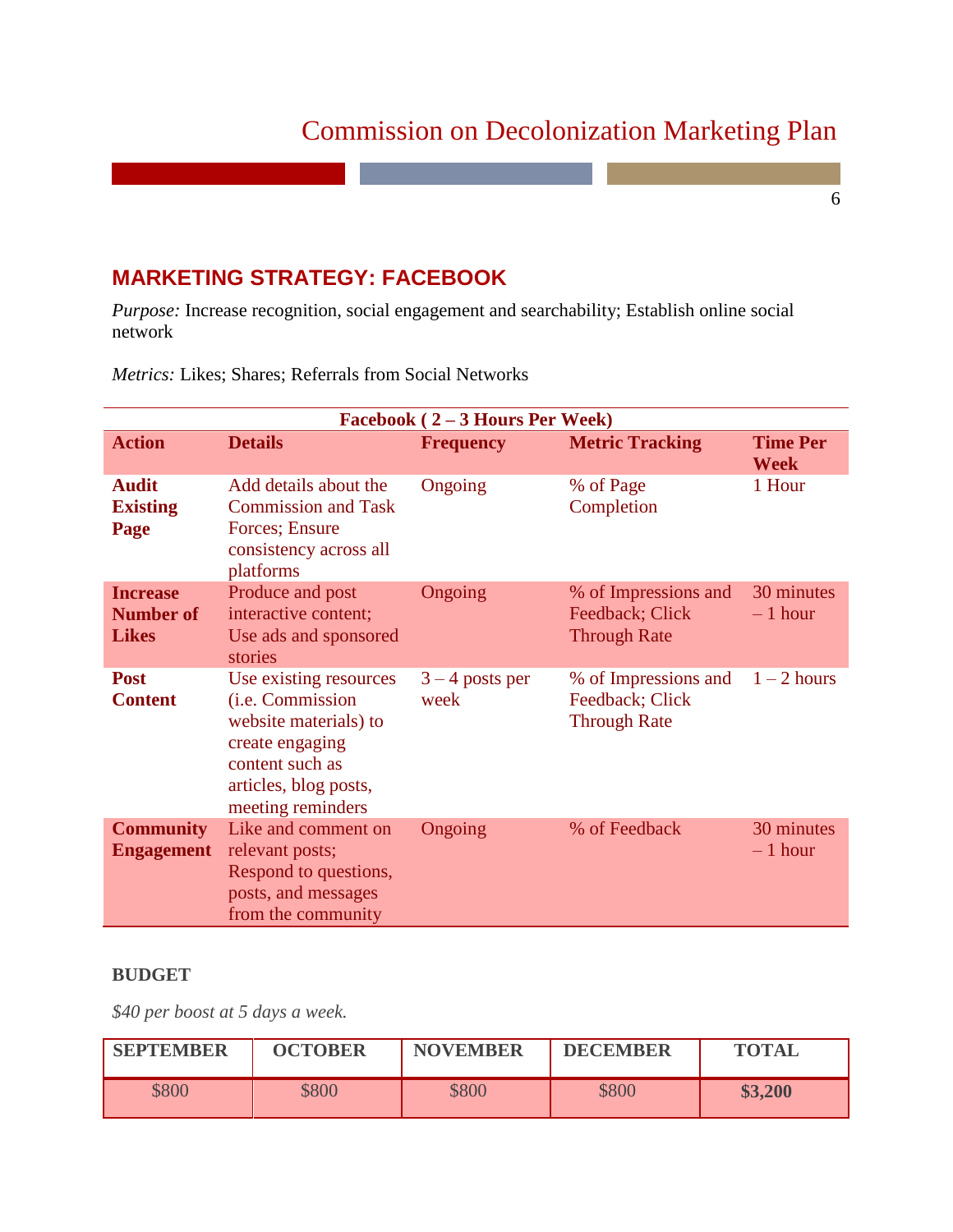6

## **MARKETING STRATEGY: FACEBOOK**

*Purpose:* Increase recognition, social engagement and searchability; Establish online social network

|                                                     | Facebook $(2-3$ Hours Per Week)                                                                                                                                 |                           |                                                                |                                |  |  |
|-----------------------------------------------------|-----------------------------------------------------------------------------------------------------------------------------------------------------------------|---------------------------|----------------------------------------------------------------|--------------------------------|--|--|
| <b>Action</b>                                       | <b>Details</b>                                                                                                                                                  | <b>Frequency</b>          | <b>Metric Tracking</b>                                         | <b>Time Per</b><br><b>Week</b> |  |  |
| <b>Audit</b><br><b>Existing</b><br>Page             | Add details about the<br><b>Commission and Task</b><br>Forces; Ensure<br>consistency across all<br>platforms                                                    | Ongoing                   | % of Page<br>Completion                                        | 1 Hour                         |  |  |
| <b>Increase</b><br><b>Number of</b><br><b>Likes</b> | Produce and post<br>interactive content;<br>Use ads and sponsored<br>stories                                                                                    | Ongoing                   | % of Impressions and<br>Feedback; Click<br><b>Through Rate</b> | 30 minutes<br>$-1$ hour        |  |  |
| <b>Post</b><br><b>Content</b>                       | Use existing resources<br>( <i>i.e.</i> Commission<br>website materials) to<br>create engaging<br>content such as<br>articles, blog posts,<br>meeting reminders | $3 - 4$ posts per<br>week | % of Impressions and<br>Feedback; Click<br><b>Through Rate</b> | $1 - 2$ hours                  |  |  |
| <b>Community</b><br><b>Engagement</b>               | Like and comment on<br>relevant posts;<br>Respond to questions,<br>posts, and messages<br>from the community                                                    | Ongoing                   | % of Feedback                                                  | 30 minutes<br>$-1$ hour        |  |  |

*Metrics:* Likes; Shares; Referrals from Social Networks

#### **BUDGET**

*\$40 per boost at 5 days a week.*

| <b>SEPTEMBER</b> | <b>OCTOBER</b> | <b>NOVEMBER</b> | <b>DECEMBER</b> | <b>TOTAL</b> |
|------------------|----------------|-----------------|-----------------|--------------|
| \$800            | \$800          | \$800           | \$800           | \$3,200      |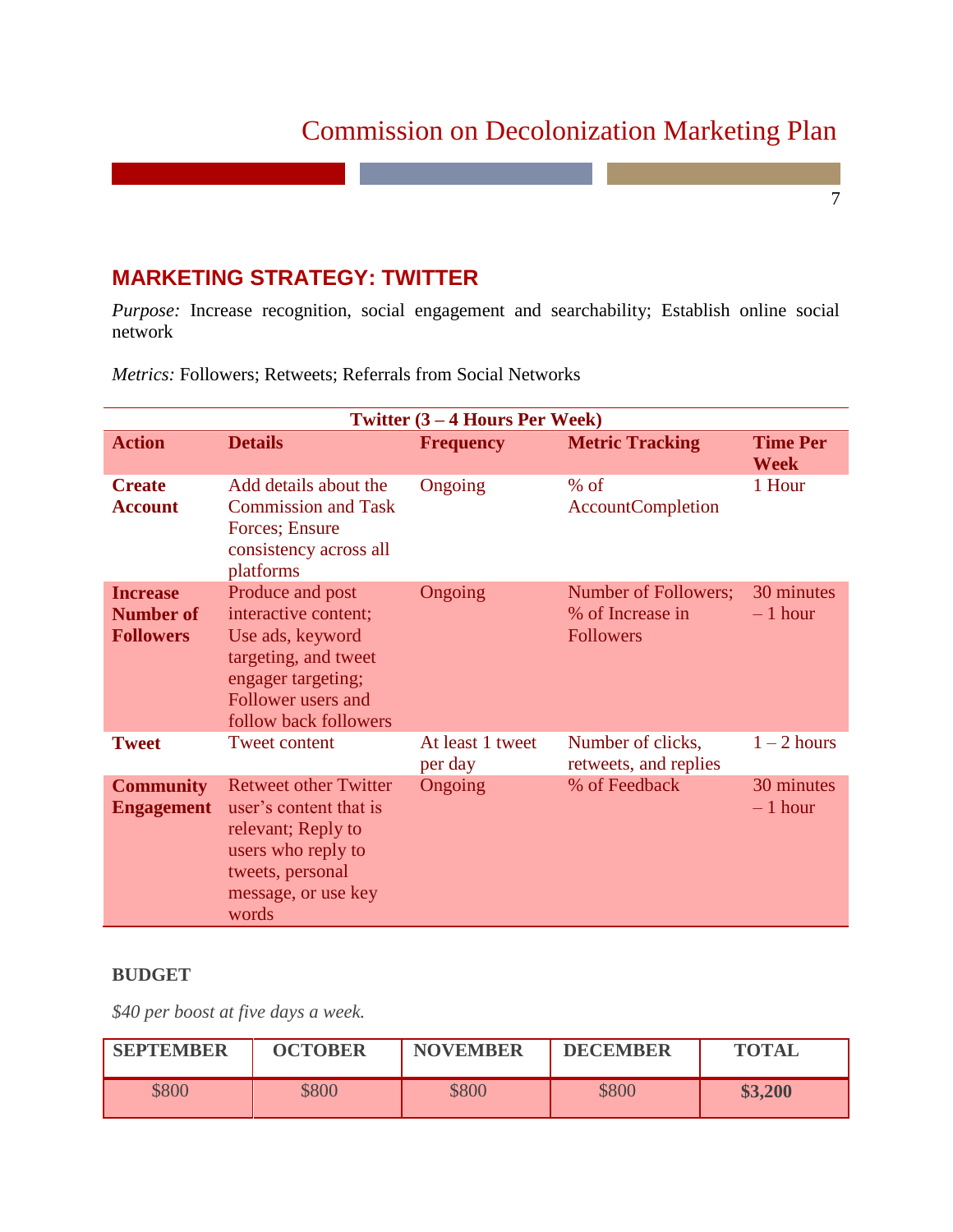7

## **MARKETING STRATEGY: TWITTER**

*Purpose:* Increase recognition, social engagement and searchability; Establish online social network

|                                                         |                                                                                                                                                           | <b>Twitter <math>(3 - 4</math> Hours Per Week)</b> |                                                              |                                |
|---------------------------------------------------------|-----------------------------------------------------------------------------------------------------------------------------------------------------------|----------------------------------------------------|--------------------------------------------------------------|--------------------------------|
| <b>Action</b>                                           | <b>Details</b>                                                                                                                                            | <b>Frequency</b>                                   | <b>Metric Tracking</b>                                       | <b>Time Per</b><br><b>Week</b> |
| <b>Create</b><br><b>Account</b>                         | Add details about the<br><b>Commission and Task</b><br>Forces; Ensure<br>consistency across all<br>platforms                                              | Ongoing                                            | $%$ of<br><b>AccountCompletion</b>                           | 1 Hour                         |
| <b>Increase</b><br><b>Number of</b><br><b>Followers</b> | Produce and post<br>interactive content;<br>Use ads, keyword<br>targeting, and tweet<br>engager targeting;<br>Follower users and<br>follow back followers | Ongoing                                            | Number of Followers;<br>% of Increase in<br><b>Followers</b> | 30 minutes<br>$-1$ hour        |
| <b>Tweet</b>                                            | <b>Tweet content</b>                                                                                                                                      | At least 1 tweet<br>per day                        | Number of clicks,<br>retweets, and replies                   | $1 - 2$ hours                  |
| <b>Community</b><br><b>Engagement</b>                   | <b>Retweet other Twitter</b><br>user's content that is<br>relevant; Reply to<br>users who reply to<br>tweets, personal<br>message, or use key<br>words    | Ongoing                                            | % of Feedback                                                | 30 minutes<br>$-1$ hour        |

*Metrics:* Followers; Retweets; Referrals from Social Networks

#### **BUDGET**

*\$40 per boost at five days a week.*

| <b>SEPTEMBER</b> | <b>OCTOBER</b> | <b>NOVEMBER</b> | <b>DECEMBER</b> | <b>TOTAL</b> |
|------------------|----------------|-----------------|-----------------|--------------|
| \$800            | \$800          | \$800           | \$800           | \$3,200      |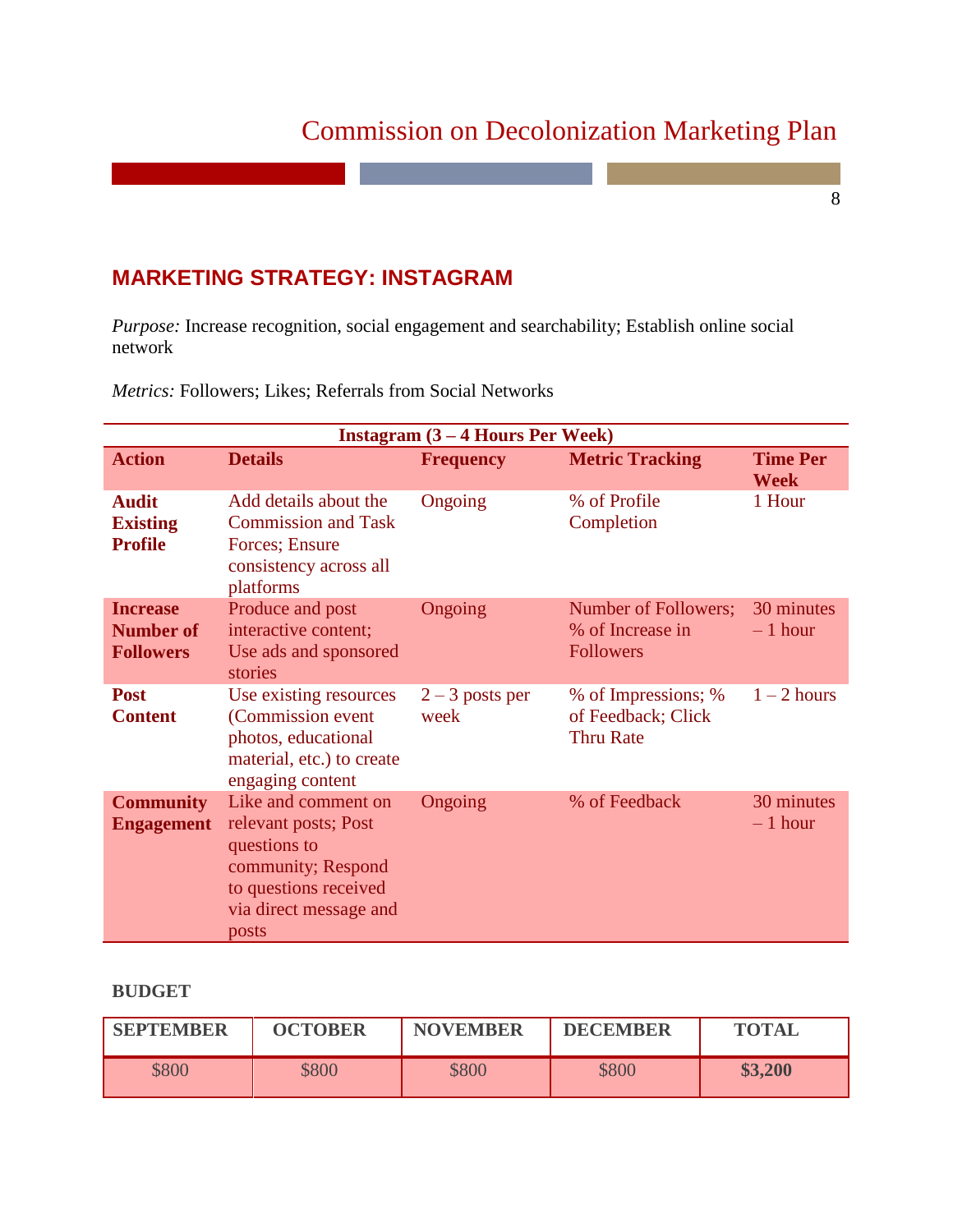8

## **MARKETING STRATEGY: INSTAGRAM**

*Purpose:* Increase recognition, social engagement and searchability; Establish online social network

|                                                         |                                                                                                                                               | Instagram $(3 - 4$ Hours Per Week) |                                                               |                                |
|---------------------------------------------------------|-----------------------------------------------------------------------------------------------------------------------------------------------|------------------------------------|---------------------------------------------------------------|--------------------------------|
| <b>Action</b>                                           | <b>Details</b>                                                                                                                                | <b>Frequency</b>                   | <b>Metric Tracking</b>                                        | <b>Time Per</b><br><b>Week</b> |
| <b>Audit</b><br><b>Existing</b><br><b>Profile</b>       | Add details about the<br><b>Commission and Task</b><br>Forces; Ensure<br>consistency across all<br>platforms                                  | Ongoing                            | % of Profile<br>Completion                                    | 1 Hour                         |
| <b>Increase</b><br><b>Number of</b><br><b>Followers</b> | Produce and post<br>interactive content;<br>Use ads and sponsored<br>stories                                                                  | Ongoing                            | Number of Followers;<br>% of Increase in<br><b>Followers</b>  | 30 minutes<br>$-1$ hour        |
| <b>Post</b><br><b>Content</b>                           | Use existing resources<br>(Commission event)<br>photos, educational<br>material, etc.) to create<br>engaging content                          | $2 - 3$ posts per<br>week          | % of Impressions; %<br>of Feedback; Click<br><b>Thru Rate</b> | $1 - 2$ hours                  |
| <b>Community</b><br><b>Engagement</b>                   | Like and comment on<br>relevant posts; Post<br>questions to<br>community; Respond<br>to questions received<br>via direct message and<br>posts | Ongoing                            | % of Feedback                                                 | 30 minutes<br>$-1$ hour        |

*Metrics:* Followers; Likes; Referrals from Social Networks

#### **BUDGET**

| <b>SEPTEMBER</b> | <b>OCTOBER</b> | <b>NOVEMBER</b> | <b>DECEMBER</b> | <b>TOTAL</b> |
|------------------|----------------|-----------------|-----------------|--------------|
| \$800            | \$800          | \$800           | \$800           | \$3,200      |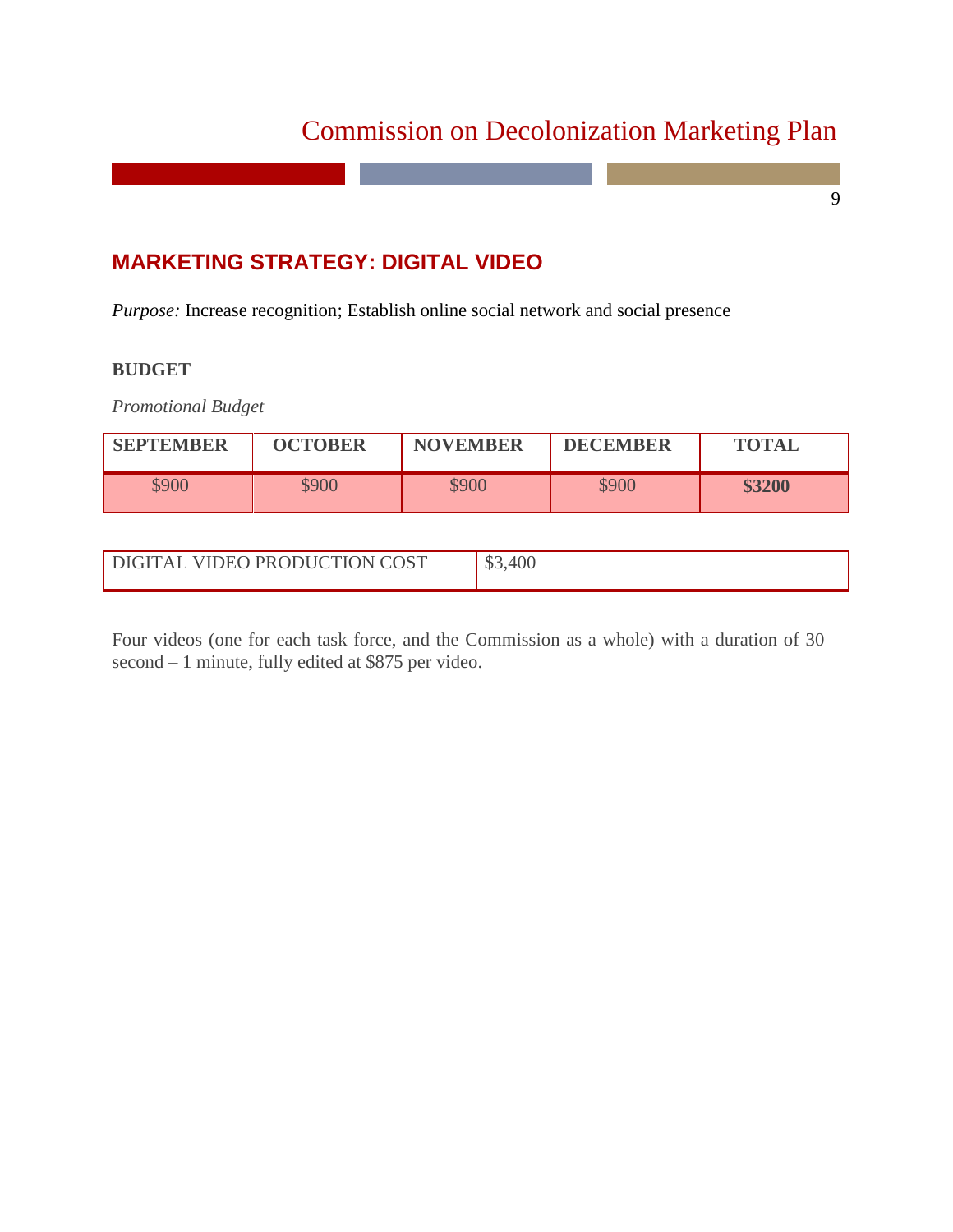9

# **MARKETING STRATEGY: DIGITAL VIDEO**

*Purpose:* Increase recognition; Establish online social network and social presence

#### **BUDGET**

*Promotional Budget*

| <b>SEPTEMBER</b> | <b>OCTOBER</b> | <b>NOVEMBER</b> | <b>DECEMBER</b> | <b>TOTAL</b> |
|------------------|----------------|-----------------|-----------------|--------------|
| \$900            | \$900          | \$900           | \$900           | \$3200       |

| DIGITAL VIDEO PRODUCTION COST | 100 |
|-------------------------------|-----|
|                               |     |

Four videos (one for each task force, and the Commission as a whole) with a duration of 30 second – 1 minute, fully edited at \$875 per video.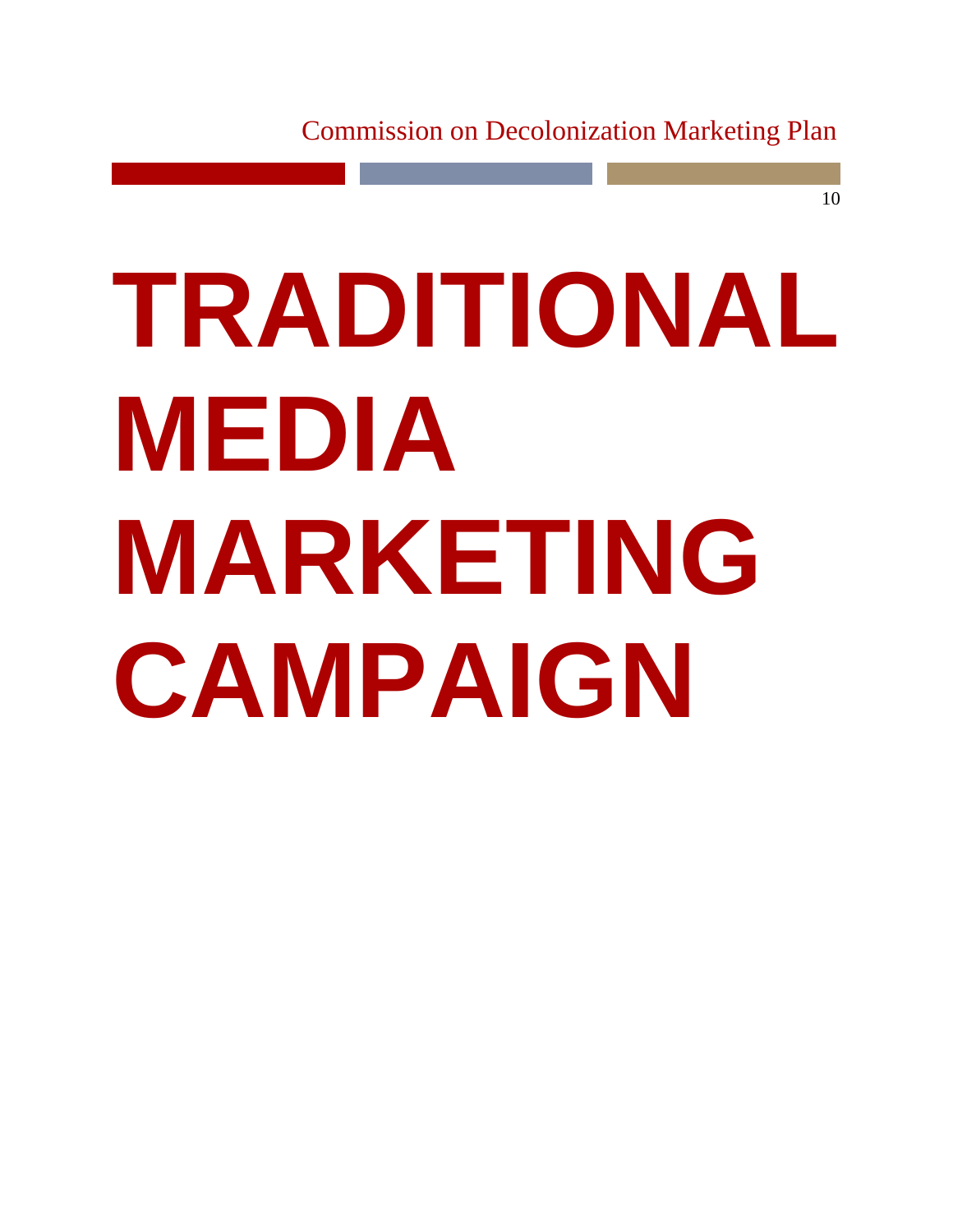# **TRADITIONAL MEDIA MARKETING CAMPAIGN**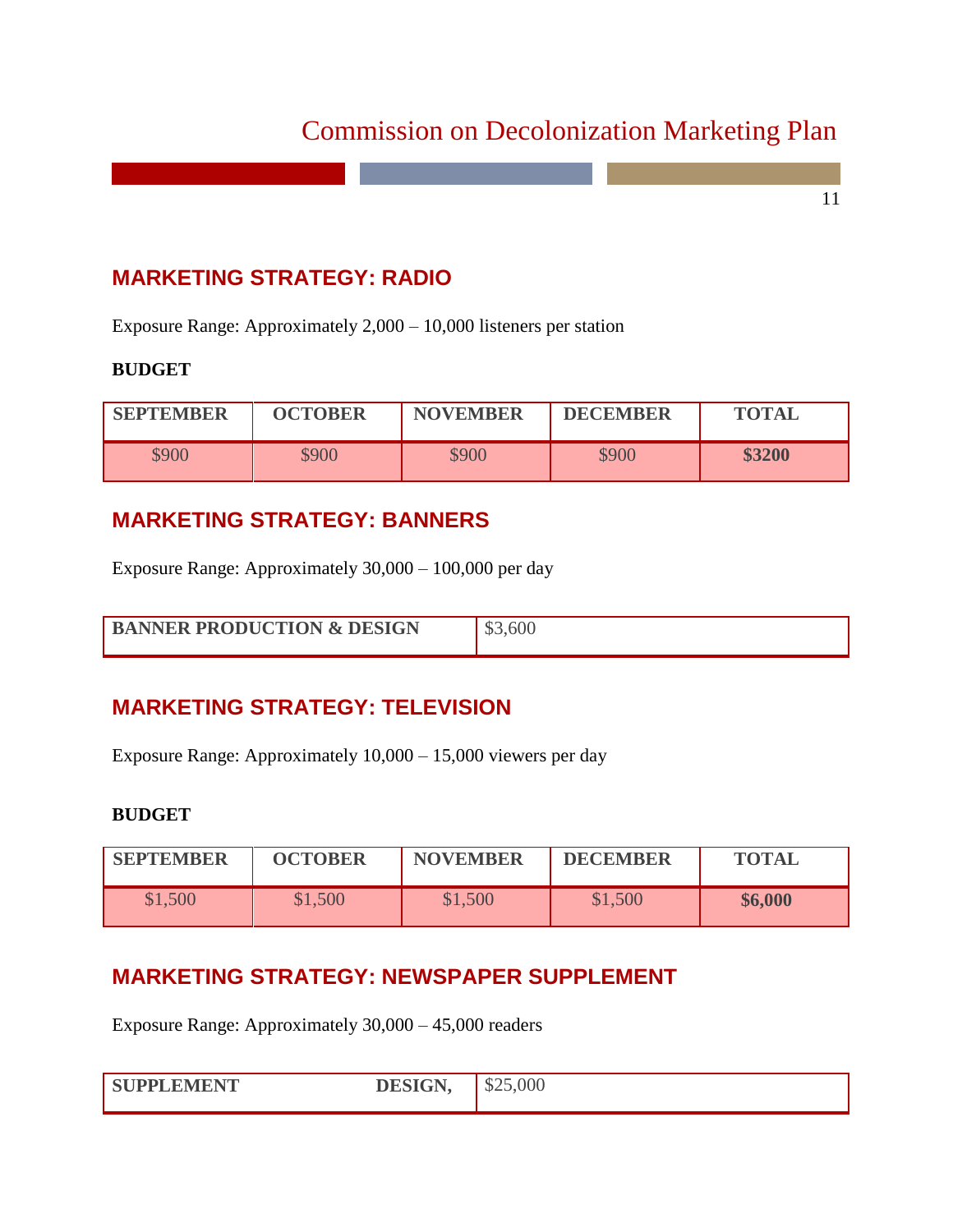11

# **MARKETING STRATEGY: RADIO**

Exposure Range: Approximately 2,000 – 10,000 listeners per station

#### **BUDGET**

| <b>SEPTEMBER</b> | <b>OCTOBER</b> | <b>NOVEMBER</b> | <b>DECEMBER</b> | <b>TOTAL</b> |
|------------------|----------------|-----------------|-----------------|--------------|
| \$900            | \$900          | \$900           | \$900           | \$3200       |

# **MARKETING STRATEGY: BANNERS**

Exposure Range: Approximately 30,000 – 100,000 per day

| <b>BANNER PRODUCTION &amp; DESIGN</b> | ,600 |
|---------------------------------------|------|
|                                       |      |

# **MARKETING STRATEGY: TELEVISION**

Exposure Range: Approximately 10,000 – 15,000 viewers per day

#### **BUDGET**

| <b>SEPTEMBER</b> | <b>OCTOBER</b> | <b>NOVEMBER</b> | <b>DECEMBER</b> | <b>TOTAL</b> |
|------------------|----------------|-----------------|-----------------|--------------|
| \$1,500          | \$1,500        | \$1,500         | \$1,500         | \$6,000      |

## **MARKETING STRATEGY: NEWSPAPER SUPPLEMENT**

Exposure Range: Approximately 30,000 – 45,000 readers

| SHPPLEMENT | <b>DECICN</b> | 00 <sup>0</sup><br>، п |
|------------|---------------|------------------------|
|            |               |                        |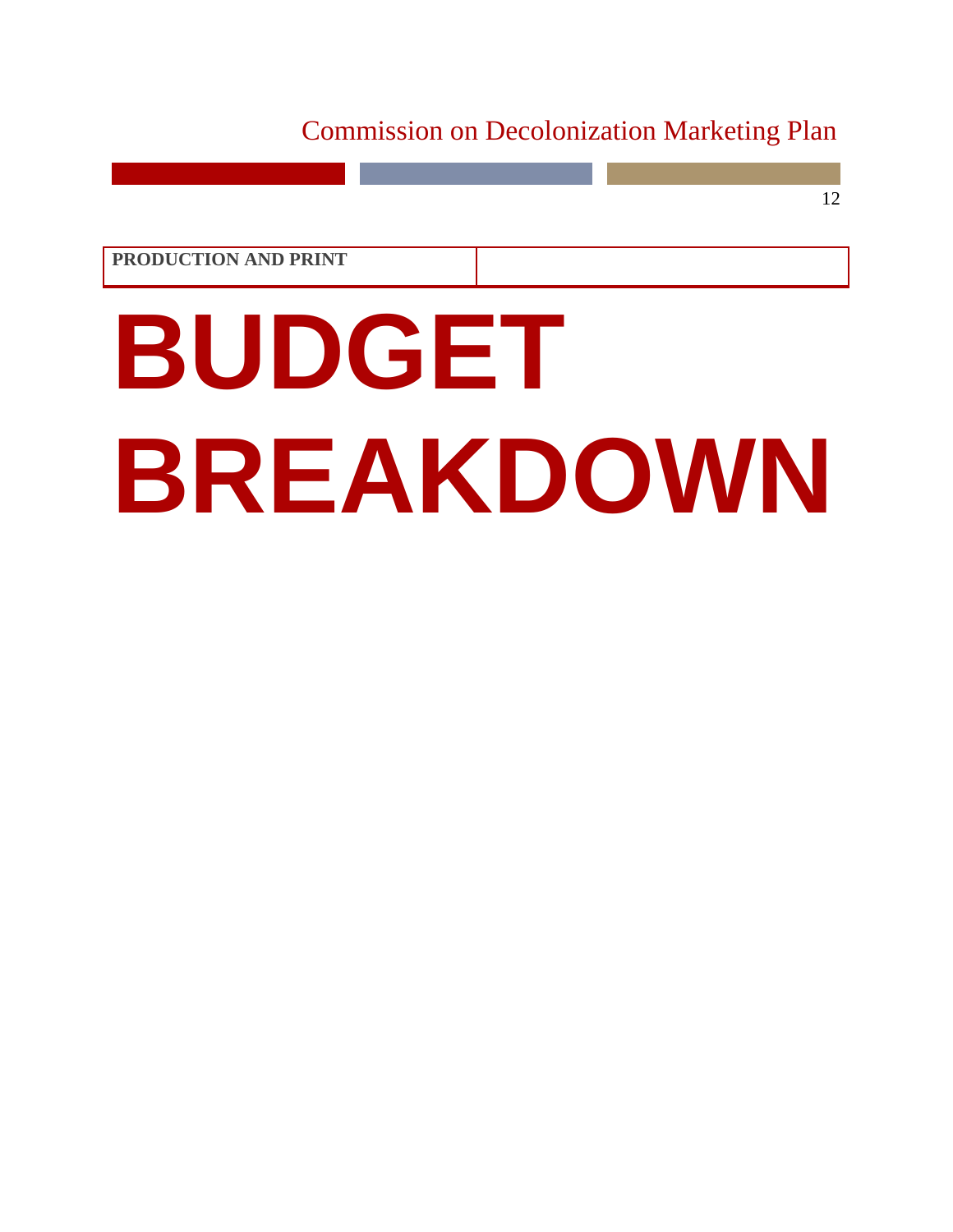12

**PRODUCTION AND PRINT**

# **BUDGET BREAKDOWN**